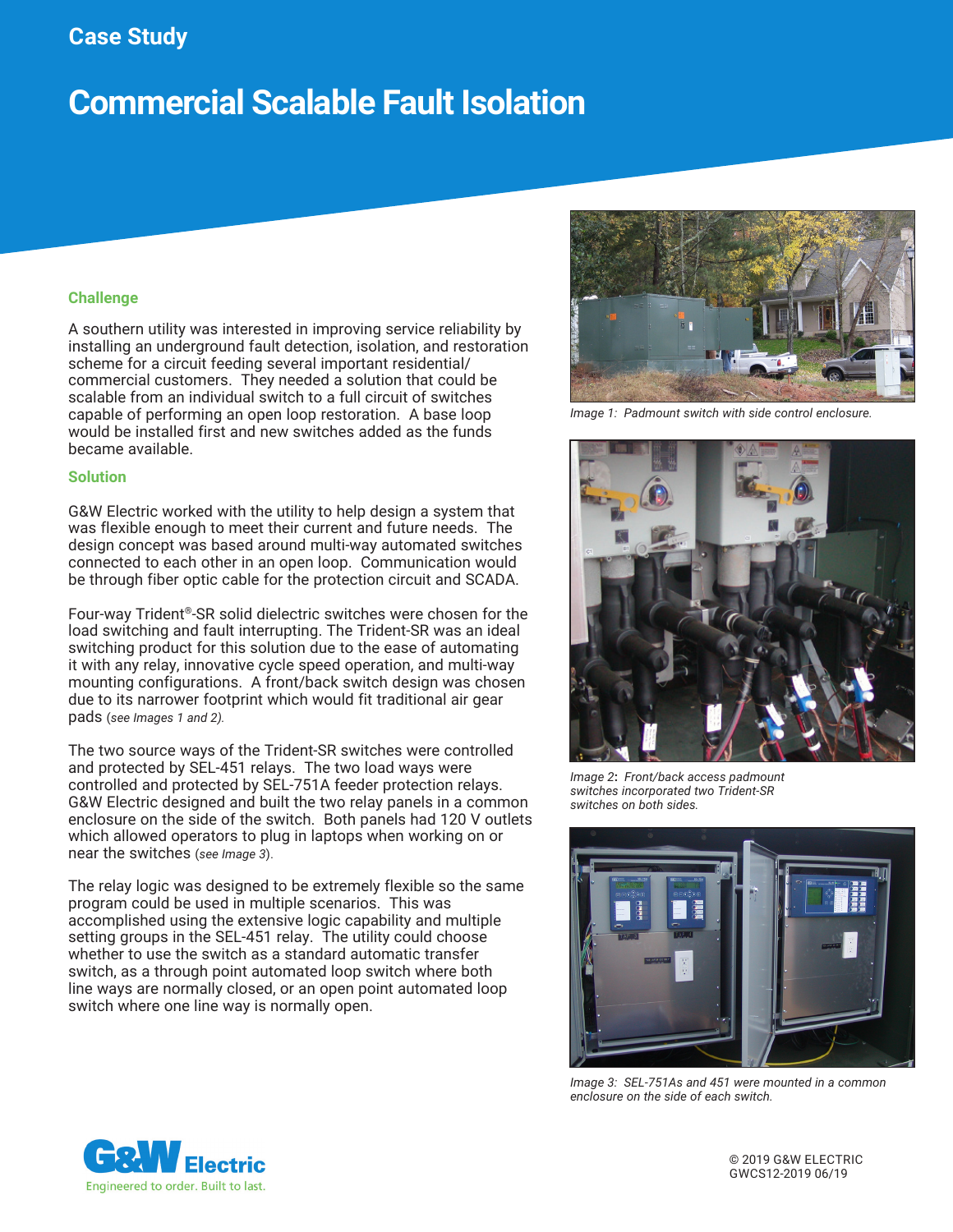# **Case Study**

# **Commercial Scalable Fault Isolation**

### **Challenge**

A southern utility was interested in improving service reliability by installing an underground fault detection, isolation, and restoration scheme for a circuit feeding several important residential/ commercial customers. They needed a solution that could be scalable from an individual switch to a full circuit of switches capable of performing an open loop restoration. A base loop would be installed first and new switches added as the funds became available.

#### **Solution**

G&W Electric worked with the utility to help design a system that was flexible enough to meet their current and future needs. The design concept was based around multi-way automated switches connected to each other in an open loop. Communication would be through fiber optic cable for the protection circuit and SCADA.

Four-way Trident®-SR solid dielectric switches were chosen for the load switching and fault interrupting. The Trident-SR was an ideal switching product for this solution due to the ease of automating it with any relay, innovative cycle speed operation, and multi-way mounting configurations. A front/back switch design was chosen due to its narrower footprint which would fit traditional air gear pads (*see Images 1 and 2).*

The two source ways of the Trident-SR switches were controlled and protected by SEL-451 relays. The two load ways were controlled and protected by SEL-751A feeder protection relays. G&W Electric designed and built the two relay panels in a common enclosure on the side of the switch. Both panels had 120 V outlets which allowed operators to plug in laptops when working on or near the switches (*see Image 3*).

The relay logic was designed to be extremely flexible so the same program could be used in multiple scenarios. This was accomplished using the extensive logic capability and multiple setting groups in the SEL-451 relay. The utility could choose whether to use the switch as a standard automatic transfer switch, as a through point automated loop switch where both line ways are normally closed, or an open point automated loop switch where one line way is normally open.



*Image 1: Padmount switch with side control enclosure.*



*Image 2***:** *Front/back access padmount switches incorporated two Trident-SR switches on both sides.*



*Image 3: SEL-751As and 451 were mounted in a common enclosure on the side of each switch.*